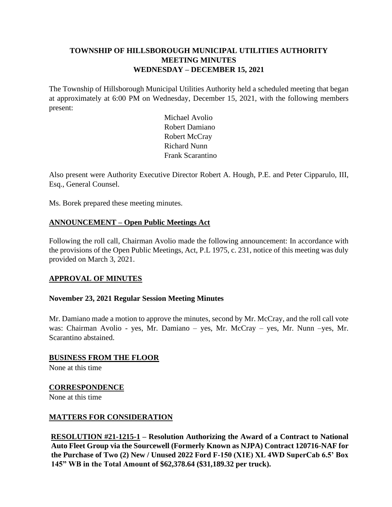## **TOWNSHIP OF HILLSBOROUGH MUNICIPAL UTILITIES AUTHORITY MEETING MINUTES WEDNESDAY – DECEMBER 15, 2021**

The Township of Hillsborough Municipal Utilities Authority held a scheduled meeting that began at approximately at 6:00 PM on Wednesday, December 15, 2021, with the following members present:

> Michael Avolio Robert Damiano Robert McCray Richard Nunn Frank Scarantino

Also present were Authority Executive Director Robert A. Hough, P.E. and Peter Cipparulo, III, Esq., General Counsel.

Ms. Borek prepared these meeting minutes.

## **ANNOUNCEMENT – Open Public Meetings Act**

Following the roll call, Chairman Avolio made the following announcement: In accordance with the provisions of the Open Public Meetings, Act, P.L 1975, c. 231, notice of this meeting was duly provided on March 3, 2021.

## **APPROVAL OF MINUTES**

## **November 23, 2021 Regular Session Meeting Minutes**

Mr. Damiano made a motion to approve the minutes, second by Mr. McCray, and the roll call vote was: Chairman Avolio - yes, Mr. Damiano – yes, Mr. McCray – yes, Mr. Nunn –yes, Mr. Scarantino abstained.

# **BUSINESS FROM THE FLOOR**

None at this time

## **CORRESPONDENCE**

None at this time

## **MATTERS FOR CONSIDERATION**

**RESOLUTION #21-1215-1 – Resolution Authorizing the Award of a Contract to National Auto Fleet Group via the Sourcewell (Formerly Known as NJPA) Contract 120716-NAF for the Purchase of Two (2) New / Unused 2022 Ford F-150 (X1E) XL 4WD SuperCab 6.5' Box 145" WB in the Total Amount of \$62,378.64 (\$31,189.32 per truck).**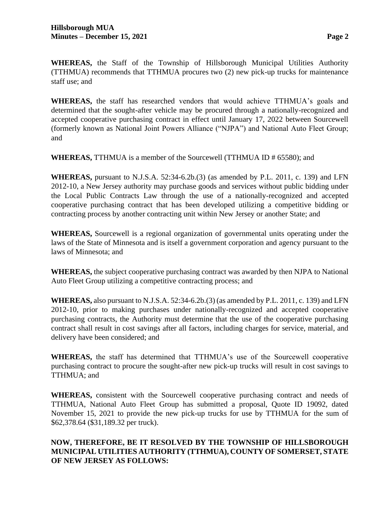**WHEREAS,** the Staff of the Township of Hillsborough Municipal Utilities Authority (TTHMUA) recommends that TTHMUA procures two (2) new pick-up trucks for maintenance staff use; and

**WHEREAS,** the staff has researched vendors that would achieve TTHMUA's goals and determined that the sought-after vehicle may be procured through a nationally-recognized and accepted cooperative purchasing contract in effect until January 17, 2022 between Sourcewell (formerly known as National Joint Powers Alliance ("NJPA") and National Auto Fleet Group; and

**WHEREAS,** TTHMUA is a member of the Sourcewell (TTHMUA ID # 65580); and

**WHEREAS,** pursuant to N.J.S.A. 52:34-6.2b.(3) (as amended by P.L. 2011, c. 139) and LFN 2012-10, a New Jersey authority may purchase goods and services without public bidding under the Local Public Contracts Law through the use of a nationally-recognized and accepted cooperative purchasing contract that has been developed utilizing a competitive bidding or contracting process by another contracting unit within New Jersey or another State; and

**WHEREAS,** Sourcewell is a regional organization of governmental units operating under the laws of the State of Minnesota and is itself a government corporation and agency pursuant to the laws of Minnesota; and

**WHEREAS,** the subject cooperative purchasing contract was awarded by then NJPA to National Auto Fleet Group utilizing a competitive contracting process; and

**WHEREAS,** also pursuant to N.J.S.A. 52:34-6.2b.(3) (as amended by P.L. 2011, c. 139) and LFN 2012-10, prior to making purchases under nationally-recognized and accepted cooperative purchasing contracts, the Authority must determine that the use of the cooperative purchasing contract shall result in cost savings after all factors, including charges for service, material, and delivery have been considered; and

**WHEREAS,** the staff has determined that TTHMUA's use of the Sourcewell cooperative purchasing contract to procure the sought-after new pick-up trucks will result in cost savings to TTHMUA; and

**WHEREAS,** consistent with the Sourcewell cooperative purchasing contract and needs of TTHMUA, National Auto Fleet Group has submitted a proposal, Quote ID 19092, dated November 15, 2021 to provide the new pick-up trucks for use by TTHMUA for the sum of \$62,378.64 (\$31,189.32 per truck).

# **NOW, THEREFORE, BE IT RESOLVED BY THE TOWNSHIP OF HILLSBOROUGH MUNICIPAL UTILITIES AUTHORITY (TTHMUA), COUNTY OF SOMERSET, STATE OF NEW JERSEY AS FOLLOWS:**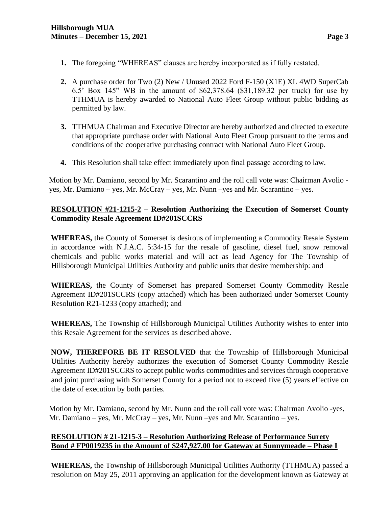- **1.** The foregoing "WHEREAS" clauses are hereby incorporated as if fully restated.
- **2.** A purchase order for Two (2) New / Unused 2022 Ford F-150 (X1E) XL 4WD SuperCab 6.5' Box 145" WB in the amount of \$62,378.64 (\$31,189.32 per truck) for use by TTHMUA is hereby awarded to National Auto Fleet Group without public bidding as permitted by law.
- **3.** TTHMUA Chairman and Executive Director are hereby authorized and directed to execute that appropriate purchase order with National Auto Fleet Group pursuant to the terms and conditions of the cooperative purchasing contract with National Auto Fleet Group.
- **4.** This Resolution shall take effect immediately upon final passage according to law.

Motion by Mr. Damiano, second by Mr. Scarantino and the roll call vote was: Chairman Avolio yes, Mr. Damiano – yes, Mr. McCray – yes, Mr. Nunn –yes and Mr. Scarantino – yes.

## **RESOLUTION #21-1215-2 – Resolution Authorizing the Execution of Somerset County Commodity Resale Agreement ID#201SCCRS**

**WHEREAS,** the County of Somerset is desirous of implementing a Commodity Resale System in accordance with N.J.A.C. 5:34-15 for the resale of gasoline, diesel fuel, snow removal chemicals and public works material and will act as lead Agency for The Township of Hillsborough Municipal Utilities Authority and public units that desire membership: and

**WHEREAS,** the County of Somerset has prepared Somerset County Commodity Resale Agreement ID#201SCCRS (copy attached) which has been authorized under Somerset County Resolution R21-1233 (copy attached); and

**WHEREAS,** The Township of Hillsborough Municipal Utilities Authority wishes to enter into this Resale Agreement for the services as described above.

**NOW, THEREFORE BE IT RESOLVED** that the Township of Hillsborough Municipal Utilities Authority hereby authorizes the execution of Somerset County Commodity Resale Agreement ID#201SCCRS to accept public works commodities and services through cooperative and joint purchasing with Somerset County for a period not to exceed five (5) years effective on the date of execution by both parties.

Motion by Mr. Damiano, second by Mr. Nunn and the roll call vote was: Chairman Avolio -yes, Mr. Damiano – yes, Mr. McCray – yes, Mr. Nunn –yes and Mr. Scarantino – yes.

## **RESOLUTION # 21-1215-3 – Resolution Authorizing Release of Performance Surety Bond # FP0019235 in the Amount of \$247,927.00 for Gateway at Sunnymeade – Phase I**

**WHEREAS,** the Township of Hillsborough Municipal Utilities Authority (TTHMUA) passed a resolution on May 25, 2011 approving an application for the development known as Gateway at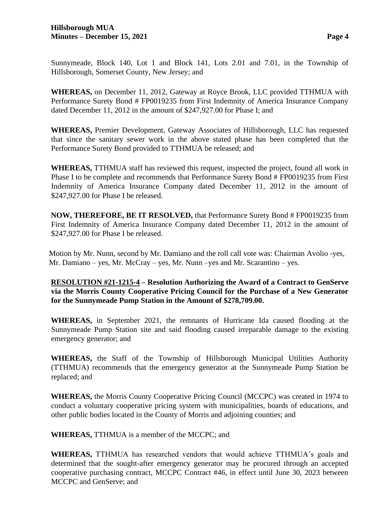Sunnymeade, Block 140, Lot 1 and Block 141, Lots 2.01 and 7.01, in the Township of Hillsborough, Somerset County, New Jersey; and

**WHEREAS,** on December 11, 2012, Gateway at Royce Brook, LLC provided TTHMUA with Performance Surety Bond # FP0019235 from First Indemnity of America Insurance Company dated December 11, 2012 in the amount of \$247,927.00 for Phase I; and

**WHEREAS,** Premier Development, Gateway Associates of Hillsborough, LLC has requested that since the sanitary sewer work in the above stated phase has been completed that the Performance Surety Bond provided to TTHMUA be released; and

**WHEREAS,** TTHMUA staff has reviewed this request, inspected the project, found all work in Phase I to be complete and recommends that Performance Surety Bond # FP0019235 from First Indemnity of America Insurance Company dated December 11, 2012 in the amount of \$247,927.00 for Phase I be released.

**NOW, THEREFORE, BE IT RESOLVED,** that Performance Surety Bond # FP0019235 from First Indemnity of America Insurance Company dated December 11, 2012 in the amount of \$247,927.00 for Phase I be released.

Motion by Mr. Nunn, second by Mr. Damiano and the roll call vote was: Chairman Avolio -yes, Mr. Damiano – yes, Mr. McCray – yes, Mr. Nunn –yes and Mr. Scarantino – yes.

**RESOLUTION #21-1215-4 – Resolution Authorizing the Award of a Contract to GenServe via the Morris County Cooperative Pricing Council for the Purchase of a New Generator for the Sunnymeade Pump Station in the Amount of \$278,709.00.**

**WHEREAS,** in September 2021, the remnants of Hurricane Ida caused flooding at the Sunnymeade Pump Station site and said flooding caused irreparable damage to the existing emergency generator; and

**WHEREAS,** the Staff of the Township of Hillsborough Municipal Utilities Authority (TTHMUA) recommends that the emergency generator at the Sunnymeade Pump Station be replaced; and

**WHEREAS,** the Morris County Cooperative Pricing Council (MCCPC) was created in 1974 to conduct a voluntary cooperative pricing system with municipalities, boards of educations, and other public bodies located in the County of Morris and adjoining counties; and

**WHEREAS,** TTHMUA is a member of the MCCPC; and

**WHEREAS,** TTHMUA has researched vendors that would achieve TTHMUA's goals and determined that the sought-after emergency generator may be procured through an accepted cooperative purchasing contract, MCCPC Contract #46, in effect until June 30, 2023 between MCCPC and GenServe; and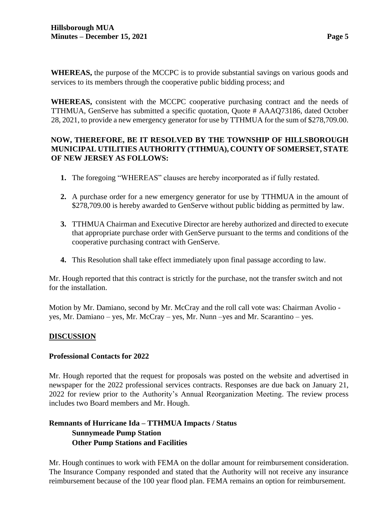**WHEREAS,** the purpose of the MCCPC is to provide substantial savings on various goods and services to its members through the cooperative public bidding process; and

**WHEREAS,** consistent with the MCCPC cooperative purchasing contract and the needs of TTHMUA, GenServe has submitted a specific quotation, Quote # AAAQ73186, dated October 28, 2021, to provide a new emergency generator for use by TTHMUA for the sum of \$278,709.00.

## **NOW, THEREFORE, BE IT RESOLVED BY THE TOWNSHIP OF HILLSBOROUGH MUNICIPAL UTILITIES AUTHORITY (TTHMUA), COUNTY OF SOMERSET, STATE OF NEW JERSEY AS FOLLOWS:**

- **1.** The foregoing "WHEREAS" clauses are hereby incorporated as if fully restated.
- **2.** A purchase order for a new emergency generator for use by TTHMUA in the amount of \$278,709.00 is hereby awarded to GenServe without public bidding as permitted by law.
- **3.** TTHMUA Chairman and Executive Director are hereby authorized and directed to execute that appropriate purchase order with GenServe pursuant to the terms and conditions of the cooperative purchasing contract with GenServe.
- **4.** This Resolution shall take effect immediately upon final passage according to law.

Mr. Hough reported that this contract is strictly for the purchase, not the transfer switch and not for the installation.

Motion by Mr. Damiano, second by Mr. McCray and the roll call vote was: Chairman Avolio yes, Mr. Damiano – yes, Mr. McCray – yes, Mr. Nunn –yes and Mr. Scarantino – yes.

## **DISCUSSION**

## **Professional Contacts for 2022**

Mr. Hough reported that the request for proposals was posted on the website and advertised in newspaper for the 2022 professional services contracts. Responses are due back on January 21, 2022 for review prior to the Authority's Annual Reorganization Meeting. The review process includes two Board members and Mr. Hough.

## **Remnants of Hurricane Ida – TTHMUA Impacts / Status Sunnymeade Pump Station Other Pump Stations and Facilities**

Mr. Hough continues to work with FEMA on the dollar amount for reimbursement consideration. The Insurance Company responded and stated that the Authority will not receive any insurance reimbursement because of the 100 year flood plan. FEMA remains an option for reimbursement.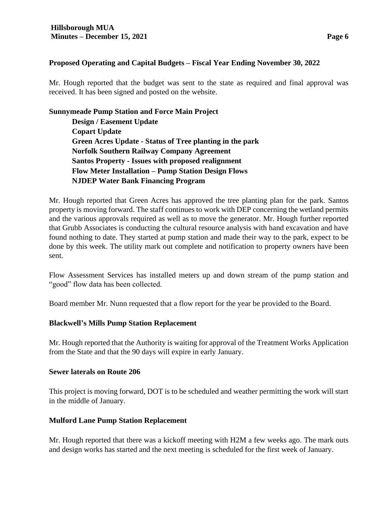### **Proposed Operating and Capital Budgets – Fiscal Year Ending November 30, 2022**

Mr. Hough reported that the budget was sent to the state as required and final approval was received. It has been signed and posted on the website.

### **Sunnymeade Pump Station and Force Main Project**

**Design / Easement Update Copart Update Green Acres Update - Status of Tree planting in the park Norfolk Southern Railway Company Agreement Santos Property - Issues with proposed realignment Flow Meter Installation – Pump Station Design Flows NJDEP Water Bank Financing Program**

Mr. Hough reported that Green Acres has approved the tree planting plan for the park. Santos property is moving forward. The staff continues to work with DEP concerning the wetland permits and the various approvals required as well as to move the generator. Mr. Hough further reported that Grubb Associates is conducting the cultural resource analysis with hand excavation and have found nothing to date. They started at pump station and made their way to the park, expect to be done by this week. The utility mark out complete and notification to property owners have been sent.

Flow Assessment Services has installed meters up and down stream of the pump station and "good" flow data has been collected.

Board member Mr. Nunn requested that a flow report for the year be provided to the Board.

### **Blackwell's Mills Pump Station Replacement**

Mr. Hough reported that the Authority is waiting for approval of the Treatment Works Application from the State and that the 90 days will expire in early January.

### **Sewer laterals on Route 206**

This project is moving forward, DOT is to be scheduled and weather permitting the work will start in the middle of January.

### **Mulford Lane Pump Station Replacement**

Mr. Hough reported that there was a kickoff meeting with H2M a few weeks ago. The mark outs and design works has started and the next meeting is scheduled for the first week of January.